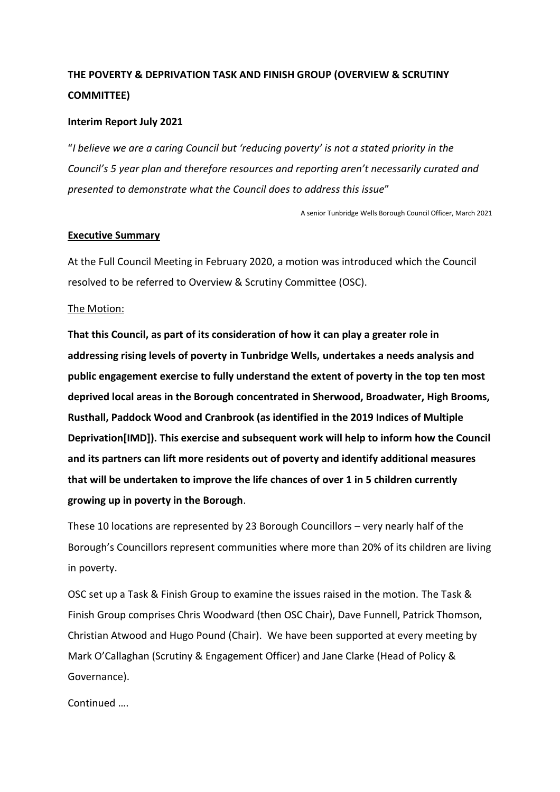# **THE POVERTY & DEPRIVATION TASK AND FINISH GROUP (OVERVIEW & SCRUTINY COMMITTEE)**

## **Interim Report July 2021**

"*I believe we are a caring Council but 'reducing poverty' is not a stated priority in the Council's 5 year plan and therefore resources and reporting aren't necessarily curated and presented to demonstrate what the Council does to address this issue*"

A senior Tunbridge Wells Borough Council Officer, March 2021

#### **Executive Summary**

At the Full Council Meeting in February 2020, a motion was introduced which the Council resolved to be referred to Overview & Scrutiny Committee (OSC).

## The Motion:

**That this Council, as part of its consideration of how it can play a greater role in addressing rising levels of poverty in Tunbridge Wells, undertakes a needs analysis and public engagement exercise to fully understand the extent of poverty in the top ten most deprived local areas in the Borough concentrated in Sherwood, Broadwater, High Brooms, Rusthall, Paddock Wood and Cranbrook (as identified in the 2019 Indices of Multiple Deprivation[IMD]). This exercise and subsequent work will help to inform how the Council and its partners can lift more residents out of poverty and identify additional measures that will be undertaken to improve the life chances of over 1 in 5 children currently growing up in poverty in the Borough**.

These 10 locations are represented by 23 Borough Councillors – very nearly half of the Borough's Councillors represent communities where more than 20% of its children are living in poverty.

OSC set up a Task & Finish Group to examine the issues raised in the motion. The Task & Finish Group comprises Chris Woodward (then OSC Chair), Dave Funnell, Patrick Thomson, Christian Atwood and Hugo Pound (Chair). We have been supported at every meeting by Mark O'Callaghan (Scrutiny & Engagement Officer) and Jane Clarke (Head of Policy & Governance).

Continued ….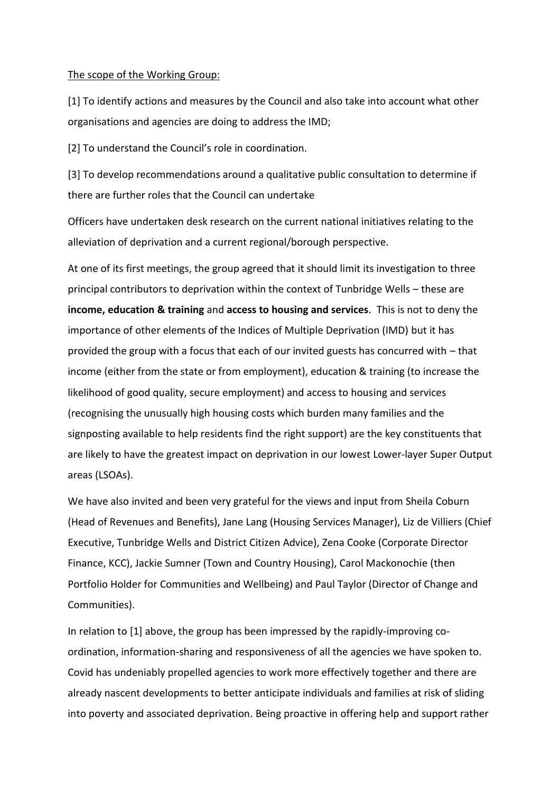#### The scope of the Working Group:

[1] To identify actions and measures by the Council and also take into account what other organisations and agencies are doing to address the IMD;

[2] To understand the Council's role in coordination.

[3] To develop recommendations around a qualitative public consultation to determine if there are further roles that the Council can undertake

Officers have undertaken desk research on the current national initiatives relating to the alleviation of deprivation and a current regional/borough perspective.

At one of its first meetings, the group agreed that it should limit its investigation to three principal contributors to deprivation within the context of Tunbridge Wells – these are **income, education & training** and **access to housing and services**. This is not to deny the importance of other elements of the Indices of Multiple Deprivation (IMD) but it has provided the group with a focus that each of our invited guests has concurred with – that income (either from the state or from employment), education & training (to increase the likelihood of good quality, secure employment) and access to housing and services (recognising the unusually high housing costs which burden many families and the signposting available to help residents find the right support) are the key constituents that are likely to have the greatest impact on deprivation in our lowest Lower-layer Super Output areas (LSOAs).

We have also invited and been very grateful for the views and input from Sheila Coburn (Head of Revenues and Benefits), Jane Lang (Housing Services Manager), Liz de Villiers (Chief Executive, Tunbridge Wells and District Citizen Advice), Zena Cooke (Corporate Director Finance, KCC), Jackie Sumner (Town and Country Housing), Carol Mackonochie (then Portfolio Holder for Communities and Wellbeing) and Paul Taylor (Director of Change and Communities).

In relation to [1] above, the group has been impressed by the rapidly-improving coordination, information-sharing and responsiveness of all the agencies we have spoken to. Covid has undeniably propelled agencies to work more effectively together and there are already nascent developments to better anticipate individuals and families at risk of sliding into poverty and associated deprivation. Being proactive in offering help and support rather